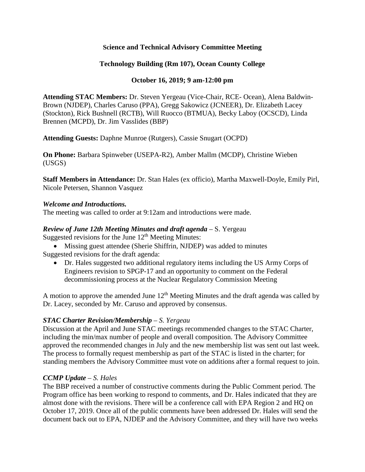## **Science and Technical Advisory Committee Meeting**

## **Technology Building (Rm 107), Ocean County College**

## **October 16, 2019; 9 am-12:00 pm**

**Attending STAC Members:** Dr. Steven Yergeau (Vice-Chair, RCE- Ocean), Alena Baldwin-Brown (NJDEP), Charles Caruso (PPA), Gregg Sakowicz (JCNEER), Dr. Elizabeth Lacey (Stockton), Rick Bushnell (RCTB), Will Ruocco (BTMUA), Becky Laboy (OCSCD), Linda Brennen (MCPD), Dr. Jim Vasslides (BBP)

**Attending Guests:** Daphne Munroe (Rutgers), Cassie Snugart (OCPD)

**On Phone:** Barbara Spinweber (USEPA-R2), Amber Mallm (MCDP), Christine Wieben (USGS)

**Staff Members in Attendance:** Dr. Stan Hales (ex officio), Martha Maxwell-Doyle, Emily Pirl, Nicole Petersen, Shannon Vasquez

#### *Welcome and Introductions.*

The meeting was called to order at 9:12am and introductions were made.

# *Review of June 12th Meeting Minutes and draft agenda* – S. Yergeau

Suggested revisions for the June  $12<sup>th</sup>$  Meeting Minutes:

- Missing guest attendee (Sherie Shiffrin, NJDEP) was added to minutes Suggested revisions for the draft agenda:
	- Dr. Hales suggested two additional regulatory items including the US Army Corps of Engineers revision to SPGP-17 and an opportunity to comment on the Federal decommissioning process at the Nuclear Regulatory Commission Meeting

A motion to approve the amended June  $12<sup>th</sup>$  Meeting Minutes and the draft agenda was called by Dr. Lacey, seconded by Mr. Caruso and approved by consensus.

## *STAC Charter Revision/Membership – S. Yergeau*

Discussion at the April and June STAC meetings recommended changes to the STAC Charter, including the min/max number of people and overall composition. The Advisory Committee approved the recommended changes in July and the new membership list was sent out last week. The process to formally request membership as part of the STAC is listed in the charter; for standing members the Advisory Committee must vote on additions after a formal request to join.

## *CCMP Update – S. Hales*

The BBP received a number of constructive comments during the Public Comment period. The Program office has been working to respond to comments, and Dr. Hales indicated that they are almost done with the revisions. There will be a conference call with EPA Region 2 and HQ on October 17, 2019. Once all of the public comments have been addressed Dr. Hales will send the document back out to EPA, NJDEP and the Advisory Committee, and they will have two weeks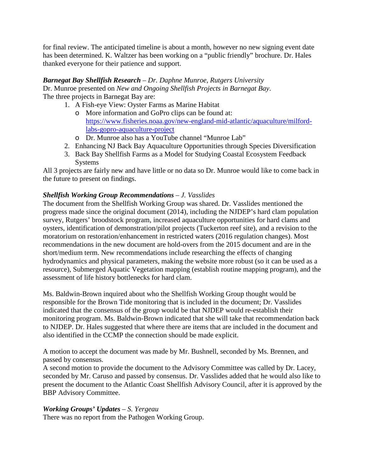for final review. The anticipated timeline is about a month, however no new signing event date has been determined. K. Waltzer has been working on a "public friendly" brochure. Dr. Hales thanked everyone for their patience and support.

# *Barnegat Bay Shellfish Research – Dr. Daphne Munroe, Rutgers University*

Dr. Munroe presented on *New and Ongoing Shellfish Projects in Barnegat Bay*. The three projects in Barnegat Bay are:

- 1. A Fish-eye View: Oyster Farms as Marine Habitat
	- o More information and GoPro clips can be found at: [https://www.fisheries.noaa.gov/new-england-mid-atlantic/aquaculture/milford](https://www.fisheries.noaa.gov/new-england-mid-atlantic/aquaculture/milford-labs-gopro-aquaculture-project)[labs-gopro-aquaculture-project](https://www.fisheries.noaa.gov/new-england-mid-atlantic/aquaculture/milford-labs-gopro-aquaculture-project)
	- o Dr. Munroe also has a YouTube channel "Munroe Lab"
- 2. Enhancing NJ Back Bay Aquaculture Opportunities through Species Diversification
- 3. Back Bay Shellfish Farms as a Model for Studying Coastal Ecosystem Feedback Systems

All 3 projects are fairly new and have little or no data so Dr. Munroe would like to come back in the future to present on findings.

# *Shellfish Working Group Recommendations – J. Vasslides*

The document from the Shellfish Working Group was shared. Dr. Vasslides mentioned the progress made since the original document (2014), including the NJDEP's hard clam population survey, Rutgers' broodstock program, increased aquaculture opportunities for hard clams and oysters, identification of demonstration/pilot projects (Tuckerton reef site), and a revision to the moratorium on restoration/enhancement in restricted waters (2016 regulation changes). Most recommendations in the new document are hold-overs from the 2015 document and are in the short/medium term. New recommendations include researching the effects of changing hydrodynamics and physical parameters, making the website more robust (so it can be used as a resource), Submerged Aquatic Vegetation mapping (establish routine mapping program), and the assessment of life history bottlenecks for hard clam.

Ms. Baldwin-Brown inquired about who the Shellfish Working Group thought would be responsible for the Brown Tide monitoring that is included in the document; Dr. Vasslides indicated that the consensus of the group would be that NJDEP would re-establish their monitoring program. Ms. Baldwin-Brown indicated that she will take that recommendation back to NJDEP. Dr. Hales suggested that where there are items that are included in the document and also identified in the CCMP the connection should be made explicit.

A motion to accept the document was made by Mr. Bushnell, seconded by Ms. Brennen, and passed by consensus.

A second motion to provide the document to the Advisory Committee was called by Dr. Lacey, seconded by Mr. Caruso and passed by consensus. Dr. Vasslides added that he would also like to present the document to the Atlantic Coast Shellfish Advisory Council, after it is approved by the BBP Advisory Committee.

## *Working Groups' Updates – S. Yergeau*

There was no report from the Pathogen Working Group.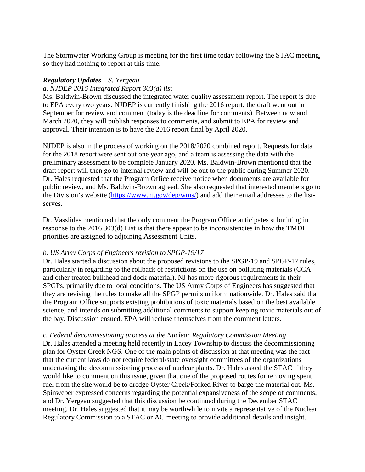The Stormwater Working Group is meeting for the first time today following the STAC meeting, so they had nothing to report at this time.

#### *Regulatory Updates – S. Yergeau*

#### *a. NJDEP 2016 Integrated Report 303(d) list*

Ms. Baldwin-Brown discussed the integrated water quality assessment report. The report is due to EPA every two years. NJDEP is currently finishing the 2016 report; the draft went out in September for review and comment (today is the deadline for comments). Between now and March 2020, they will publish responses to comments, and submit to EPA for review and approval. Their intention is to have the 2016 report final by April 2020.

NJDEP is also in the process of working on the 2018/2020 combined report. Requests for data for the 2018 report were sent out one year ago, and a team is assessing the data with the preliminary assessment to be complete January 2020. Ms. Baldwin-Brown mentioned that the draft report will then go to internal review and will be out to the public during Summer 2020. Dr. Hales requested that the Program Office receive notice when documents are available for public review, and Ms. Baldwin-Brown agreed. She also requested that interested members go to the Division's website [\(https://www.nj.gov/dep/wms/\)](https://www.nj.gov/dep/wms/) and add their email addresses to the listserves.

Dr. Vasslides mentioned that the only comment the Program Office anticipates submitting in response to the 2016 303(d) List is that there appear to be inconsistencies in how the TMDL priorities are assigned to adjoining Assessment Units.

#### *b. US Army Corps of Engineers revision to SPGP-19/17*

Dr. Hales started a discussion about the proposed revisions to the SPGP-19 and SPGP-17 rules, particularly in regarding to the rollback of restrictions on the use on polluting materials (CCA and other treated bulkhead and dock material). NJ has more rigorous requirements in their SPGPs, primarily due to local conditions. The US Army Corps of Engineers has suggested that they are revising the rules to make all the SPGP permits uniform nationwide. Dr. Hales said that the Program Office supports existing prohibitions of toxic materials based on the best available science, and intends on submitting additional comments to support keeping toxic materials out of the bay. Discussion ensued. EPA will recluse themselves from the comment letters.

#### *c. Federal decommissioning process at the Nuclear Regulatory Commission Meeting*

Dr. Hales attended a meeting held recently in Lacey Township to discuss the decommissioning plan for Oyster Creek NGS. One of the main points of discussion at that meeting was the fact that the current laws do not require federal/state oversight committees of the organizations undertaking the decommissioning process of nuclear plants. Dr. Hales asked the STAC if they would like to comment on this issue, given that one of the proposed routes for removing spent fuel from the site would be to dredge Oyster Creek/Forked River to barge the material out. Ms. Spinweber expressed concerns regarding the potential expansiveness of the scope of comments, and Dr. Yergeau suggested that this discussion be continued during the December STAC meeting. Dr. Hales suggested that it may be worthwhile to invite a representative of the Nuclear Regulatory Commission to a STAC or AC meeting to provide additional details and insight.